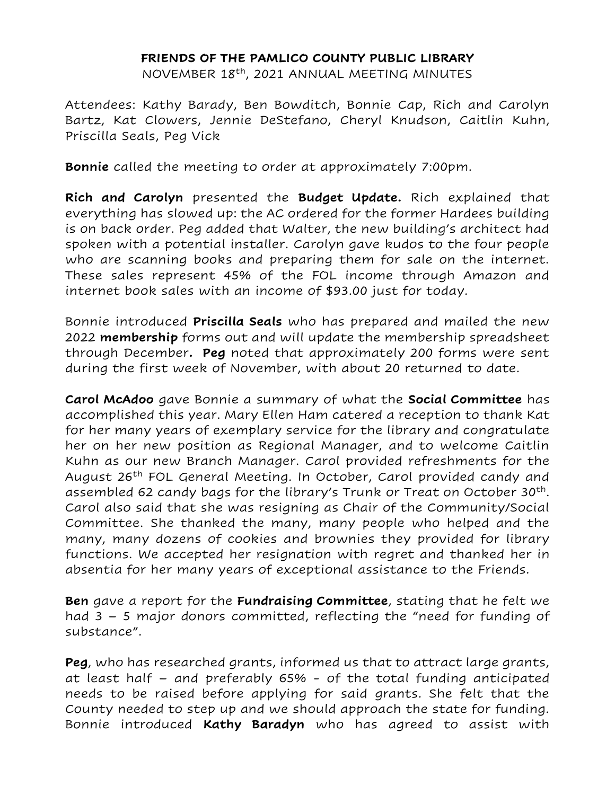## **FRIENDS OF THE PAMLICO COUNTY PUBLIC LIBRARY**

NOVEMBER 18th, 2021 ANNUAL MEETING MINUTES

Attendees: Kathy Barady, Ben Bowditch, Bonnie Cap, Rich and Carolyn Bartz, Kat Clowers, Jennie DeStefano, Cheryl Knudson, Caitlin Kuhn, Priscilla Seals, Peg Vick

**Bonnie** called the meeting to order at approximately 7:00pm.

**Rich and Carolyn** presented the **Budget Update.** Rich explained that everything has slowed up: the AC ordered for the former Hardees building is on back order. Peg added that Walter, the new building's architect had spoken with a potential installer. Carolyn gave kudos to the four people who are scanning books and preparing them for sale on the internet. These sales represent 45% of the FOL income through Amazon and internet book sales with an income of \$93.00 just for today.

Bonnie introduced **Priscilla Seals** who has prepared and mailed the new 2022 **membership** forms out and will update the membership spreadsheet through December**. Peg** noted that approximately 200 forms were sent during the first week of November, with about 20 returned to date.

**Carol McAdoo** gave Bonnie a summary of what the **Social Committee** has accomplished this year. Mary Ellen Ham catered a reception to thank Kat for her many years of exemplary service for the library and congratulate her on her new position as Regional Manager, and to welcome Caitlin Kuhn as our new Branch Manager. Carol provided refreshments for the August 26<sup>th</sup> FOL General Meeting. In October, Carol provided candy and assembled 62 candy bags for the library's Trunk or Treat on October 30<sup>th</sup>. Carol also said that she was resigning as Chair of the Community/Social Committee. She thanked the many, many people who helped and the many, many dozens of cookies and brownies they provided for library functions. We accepted her resignation with regret and thanked her in absentia for her many years of exceptional assistance to the Friends.

**Ben** gave a report for the **Fundraising Committee**, stating that he felt we had 3 – 5 major donors committed, reflecting the "need for funding of substance".

**Peg**, who has researched grants, informed us that to attract large grants, at least half – and preferably 65% - of the total funding anticipated needs to be raised before applying for said grants. She felt that the County needed to step up and we should approach the state for funding. Bonnie introduced **Kathy Baradyn** who has agreed to assist with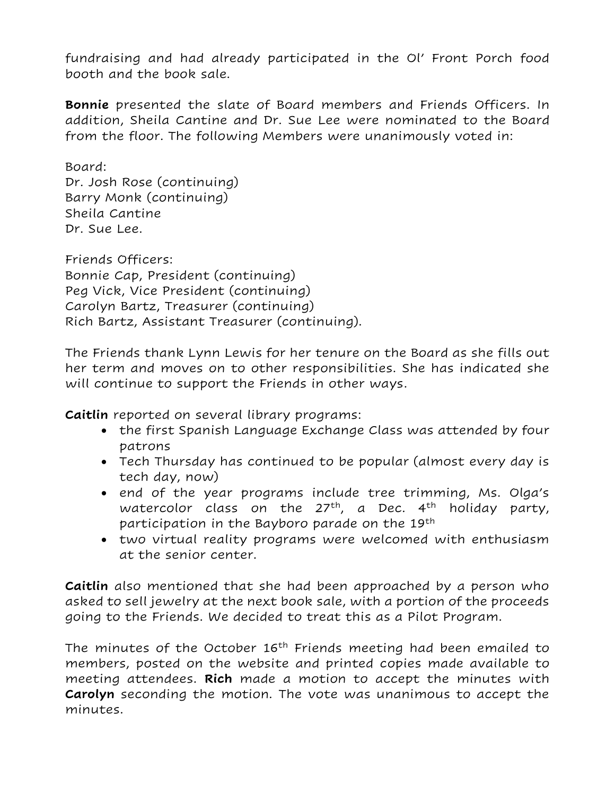fundraising and had already participated in the Ol' Front Porch food booth and the book sale.

**Bonnie** presented the slate of Board members and Friends Officers. In addition, Sheila Cantine and Dr. Sue Lee were nominated to the Board from the floor. The following Members were unanimously voted in:

Board: Dr. Josh Rose (continuing) Barry Monk (continuing) Sheila Cantine Dr. Sue Lee.

Friends Officers: Bonnie Cap, President (continuing) Peg Vick, Vice President (continuing) Carolyn Bartz, Treasurer (continuing) Rich Bartz, Assistant Treasurer (continuing).

The Friends thank Lynn Lewis for her tenure on the Board as she fills out her term and moves on to other responsibilities. She has indicated she will continue to support the Friends in other ways.

**Caitlin** reported on several library programs:

- the first Spanish Language Exchange Class was attended by four patrons
- Tech Thursday has continued to be popular (almost every day is tech day, now)
- end of the year programs include tree trimming, Ms. Olga's watercolor class on the  $27<sup>th</sup>$ , a Dec.  $4<sup>th</sup>$  holiday party, participation in the Bayboro parade on the 19<sup>th</sup>
- two virtual reality programs were welcomed with enthusiasm at the senior center.

**Caitlin** also mentioned that she had been approached by a person who asked to sell jewelry at the next book sale, with a portion of the proceeds going to the Friends. We decided to treat this as a Pilot Program.

The minutes of the October 16<sup>th</sup> Friends meeting had been emailed to members, posted on the website and printed copies made available to meeting attendees. **Rich** made a motion to accept the minutes with **Carolyn** seconding the motion. The vote was unanimous to accept the minutes.